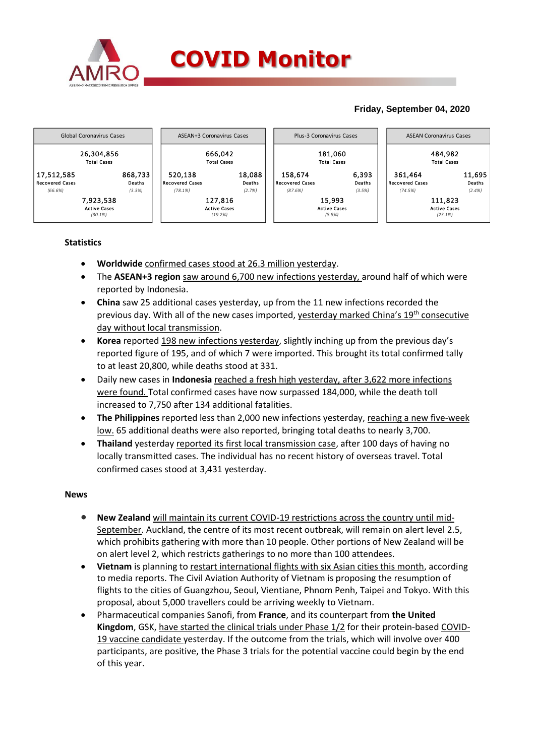

## **Friday, September 04, 2020**



## **Statistics**

- **Worldwide** confirmed cases stood at 26.3 million yesterday.
- The **ASEAN+3 region** saw around 6,700 new infections yesterday, around half of which were reported by Indonesia.
- **China** saw 25 additional cases yesterday, up from the 11 new infections recorded the previous day. With all of the new cases imported, yesterday marked China's 19th consecutive day without local transmission.
- **Korea** reported 198 new infections yesterday, slightly inching up from the previous day's reported figure of 195, and of which 7 were imported. This brought its total confirmed tally to at least 20,800, while deaths stood at 331.
- Daily new cases in **Indonesia** reached a fresh high yesterday, after 3,622 more infections were found. Total confirmed cases have now surpassed 184,000, while the death toll increased to 7,750 after 134 additional fatalities.
- **The Philippines** reported less than 2,000 new infections yesterday, reaching a new five-week low. 65 additional deaths were also reported, bringing total deaths to nearly 3,700.
- **Thailand** yesterday reported its first local transmission case, after 100 days of having no locally transmitted cases. The individual has no recent history of overseas travel. Total confirmed cases stood at 3,431 yesterday.

## **News**

- **New Zealand** will maintain its current COVID-19 restrictions across the country until mid-September. Auckland, the centre of its most recent outbreak, will remain on alert level 2.5, which prohibits gathering with more than 10 people. Other portions of New Zealand will be on alert level 2, which restricts gatherings to no more than 100 attendees.
- **Vietnam** is planning to restart international flights with six Asian cities this month, according to media reports. The Civil Aviation Authority of Vietnam is proposing the resumption of flights to the cities of Guangzhou, Seoul, Vientiane, Phnom Penh, Taipei and Tokyo. With this proposal, about 5,000 travellers could be arriving weekly to Vietnam.
- Pharmaceutical companies Sanofi, from **France**, and its counterpart from **the United Kingdom**, GSK, have started the clinical trials under Phase 1/2 for their protein-based COVID-19 vaccine candidate yesterday. If the outcome from the trials, which will involve over 400 participants, are positive, the Phase 3 trials for the potential vaccine could begin by the end of this year.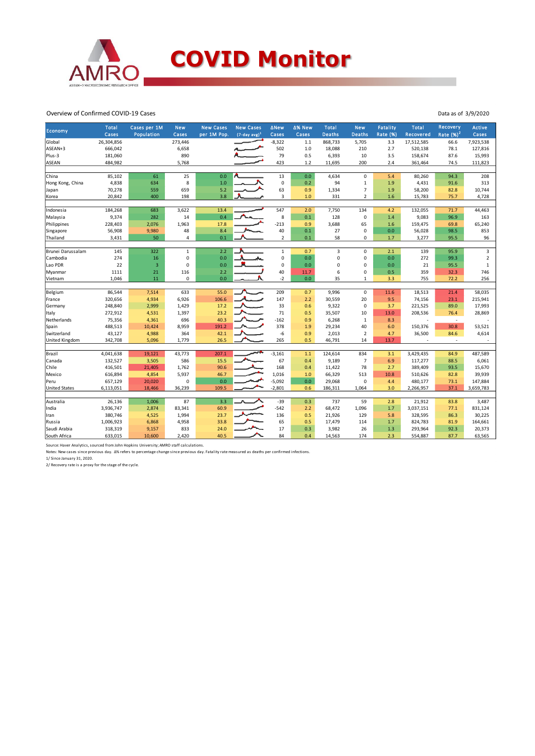

Overview of Confirmed COVID-19 Cases

| Economy               | <b>Total</b> | Cases per 1M   | <b>New</b>   | <b>New Cases</b> | <b>New Cases</b> | <b>ANew</b>    | ∆% New  | <b>Total</b>  | <b>New</b>     | <b>Fatality</b> | <b>Total</b> | Recovery                 | <b>Active</b> |
|-----------------------|--------------|----------------|--------------|------------------|------------------|----------------|---------|---------------|----------------|-----------------|--------------|--------------------------|---------------|
|                       | Cases        | Population     | Cases        | per 1M Pop.      | $(7-day avg)^1$  | Cases          | Cases   | <b>Deaths</b> | <b>Deaths</b>  | <b>Rate (%)</b> | Recovered    | Rate $(%)2$              | Cases         |
| Global                | 26,304,856   |                | 273,446      |                  |                  | $-8,322$       | $1.1\,$ | 868,733       | 5,705          | 3.3             | 17,512,585   | 66.6                     | 7,923,538     |
| ASEAN+3               | 666,042      |                | 6,658        |                  |                  | 502            | 1.0     | 18,088        | 210            | 2.7             | 520,138      | 78.1                     | 127,816       |
| Plus-3                | 181,060      |                | 890          |                  |                  | 79             | 0.5     | 6,393         | 10             | 3.5             | 158,674      | 87.6                     | 15,993        |
| <b>ASEAN</b>          | 484,982      |                | 5,768        |                  |                  | 423            | 1.2     | 11,695        | 200            | 2.4             | 361,464      | 74.5                     | 111,823       |
| China                 | 85,102       | 61             | 25           | 0.0              |                  | 13             | 0.0     | 4,634         | $\mathbf 0$    | 5.4             | 80,260       | 94.3                     | 208           |
| Hong Kong, China      | 4,838        | 634            | 8            | 1.0              |                  | $\mathbf 0$    | 0.2     | 94            | $\mathbf 1$    | 1.9             | 4,431        | 91.6                     | 313           |
| Japan                 | 70,278       | 559            | 659          | 5.2              |                  | 63             | 0.9     | 1,334         | $\overline{7}$ | 1.9             | 58,200       | 82.8                     | 10,744        |
| Korea                 | 20,842       | 400            | 198          | 3.8              |                  | 3              | 1.0     | 331           | $\overline{2}$ | 1.6             | 15,783       | 75.7                     | 4,728         |
|                       |              |                |              |                  |                  |                |         |               |                |                 |              |                          |               |
| Indonesia             | 184,268      | 683            | 3,622        | 13.4             |                  | 547            | 2.0     | 7,750         | 134            | 4.2             | 132,055      | 71.7                     | 44,463        |
| Malaysia              | 9,374        | 282            | 14           | 0.4              |                  | 8              | 0.1     | 128           | $\mathbf 0$    | 1.4             | 9,083        | 96.9                     | 163           |
| Philippines           | 228,403      | 2,076          | 1,963        | 17.8             |                  | $-213$         | 0.9     | 3,688         | 65             | 1.6             | 159,475      | 69.8                     | 65,240        |
| Singapore             | 56,908       | 9,980          | 48           | 8.4              |                  | 40             | 0.1     | 27            | 0              | 0.0             | 56,028       | 98.5                     | 853           |
| Thailand              | 3,431        | 50             | 4            | 0.1              |                  | $\overline{2}$ | 0.1     | 58            | 0              | 1.7             | 3,277        | 95.5                     | 96            |
| Brunei Darussalam     | 145          | 322            | $\mathbf{1}$ | 2.2              |                  | $\mathbf 1$    | 0.7     | 3             | 0              | 2.1             | 139          | 95.9                     | 3             |
| Cambodia              | 274          | 16             | 0            | 0.0              |                  | $\mathbf 0$    | 0.0     | 0             | $\mathbf 0$    | 0.0             | 272          | 99.3                     | $\mathbf 2$   |
| Lao PDR               | 22           | $\overline{3}$ | $\mathbf 0$  | 0.0              |                  | $\mathbf 0$    | 0.0     | 0             | 0              | 0.0             | 21           | 95.5                     | $\mathbf{1}$  |
| Myanmar               | 1111         | 21             | 116          | 2.2              |                  | 40             | 11.7    | 6             | $\mathbf 0$    | 0.5             | 359          | 32.3                     | 746           |
| Vietnam               | 1,046        | 11             | $\mathbf 0$  | 0.0              |                  | $-2$           | 0.0     | 35            | $\mathbf{1}$   | 3.3             | 755          | 72.2                     | 256           |
|                       |              |                |              |                  |                  |                |         |               |                |                 |              |                          |               |
| Belgium               | 86,544       | 7,514          | 633          | 55.0             |                  | 209            | 0.7     | 9,996         | $\mathbf 0$    | 11.6            | 18,513       | 21.4                     | 58,035        |
| France                | 320,656      | 4,934          | 6,926        | 106.6            |                  | 147            | 2.2     | 30,559        | 20             | 9.5             | 74,156       | 23.1                     | 215,941       |
| Germany               | 248,840      | 2,999          | 1,429        | 17.2             |                  | 33             | 0.6     | 9,322         | $\mathbf 0$    | 3.7             | 221,525      | 89.0                     | 17,993        |
| Italy                 | 272,912      | 4,531          | 1,397        | 23.2             |                  | 71             | 0.5     | 35,507        | 10             | 13.0            | 208,536      | 76.4                     | 28,869        |
| Netherlands           | 75,356       | 4,361          | 696          | 40.3             |                  | $-162$         | 0.9     | 6,268         | $\mathbf{1}$   | 8.3             |              | $\overline{\phantom{a}}$ |               |
| Spain                 | 488,513      | 10,424         | 8,959        | 191.2            |                  | 378            | 1.9     | 29,234        | 40             | 6.0             | 150,376      | 30.8                     | 53,521        |
| Switzerland           | 43,127       | 4,988          | 364          | 42.1             | ৴                | -6             | 0.9     | 2,013         | $\overline{2}$ | 4.7             | 36,500       | 84.6                     | 4,614         |
| <b>United Kingdom</b> | 342,708      | 5,096          | 1,779        | 26.5             |                  | 265            | 0.5     | 46,791        | 14             | 13.7            |              | ÷.                       |               |
| Brazil                | 4,041,638    | 19,121         | 43,773       | 207.1            |                  | $-3,161$       | $1.1$   | 124,614       | 834            | 3.1             | 3,429,435    | 84.9                     | 487,589       |
| Canada                | 132,527      | 3,505          | 586          | 15.5             |                  | 67             | 0.4     | 9,189         | $\overline{7}$ | 6.9             | 117,277      | 88.5                     | 6,061         |
| Chile                 | 416,501      | 21,405         | 1,762        | 90.6             |                  | 168            | 0.4     | 11,422        | 78             | 2.7             | 389,409      | 93.5                     | 15,670        |
| Mexico                | 616,894      | 4,854          | 5,937        | 46.7             |                  | 1,016          | 1.0     | 66,329        | 513            | 10.8            | 510,626      | 82.8                     | 39,939        |
| Peru                  | 657,129      | 20,020         | 0            | 0.0              |                  | $-5,092$       | 0.0     | 29,068        | 0              | 4.4             | 480,177      | 73.1                     | 147,884       |
| <b>United States</b>  | 6,113,051    | 18,466         | 36,239       | 109.5            |                  | $-2,801$       | 0.6     | 186,311       | 1,064          | 3.0             | 2,266,957    | 37.1                     | 3,659,783     |
|                       |              |                |              |                  |                  |                |         |               |                |                 |              |                          |               |
| Australia             | 26,136       | 1,006          | 87           | 3.3              |                  | $-39$          | 0.3     | 737           | 59             | 2.8             | 21,912       | 83.8                     | 3,487         |
| India                 | 3,936,747    | 2,874          | 83,341       | 60.9             |                  | $-542$         | 2.2     | 68,472        | 1,096          | 1.7             | 3,037,151    | 77.1                     | 831,124       |
| Iran                  | 380,746      | 4,525          | 1,994        | 23.7             |                  | 136            | 0.5     | 21,926        | 129            | 5.8             | 328,595      | 86.3                     | 30,225        |
| Russia                | 1,006,923    | 6,868          | 4,958        | 33.8             |                  | 65             | 0.5     | 17,479        | 114            | 1.7             | 824,783      | 81.9                     | 164,661       |
| Saudi Arabia          | 318,319      | 9,157          | 833          | 24.0             |                  | 17             | 0.3     | 3,982         | 26             | 1.3             | 293,964      | 92.3                     | 20,373        |
| South Africa          | 633,015      | 10,600         | 2,420        | 40.5             |                  | 84             | 0.4     | 14,563        | 174            | 2.3             | 554,887      | 87.7                     | 63,565        |

Data as of 3/9/2020

Source: Haver Analytics, sourced from John Hopkins University; AMRO staff calculations.

Notes: New cases since previous day. Δ% refers to percentage change since previous day. Fatality rate measured as deaths per confirmed infections. 1/ Since January 31, 2020.

2/ Recovery rate is a proxy for the stage of the cycle.